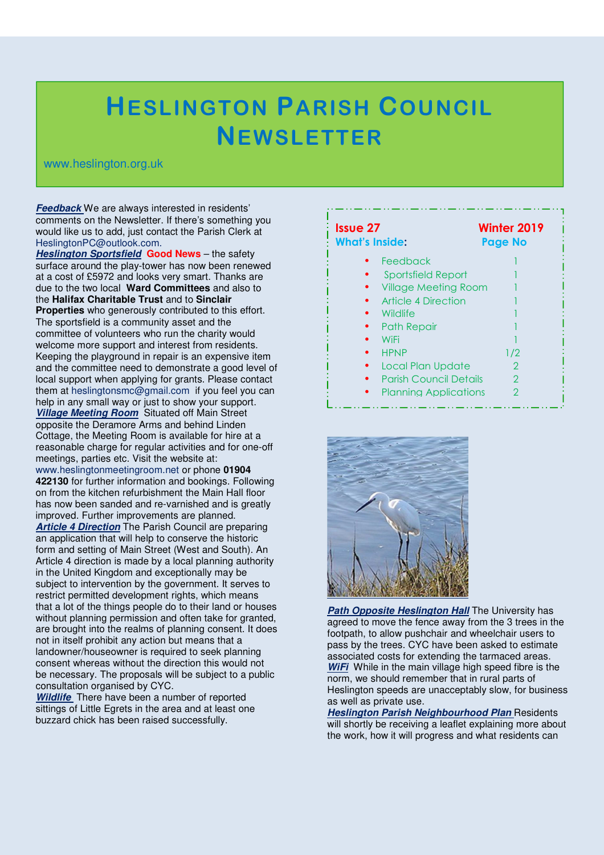## **HESLINGTON PARISH COUNCIL NEWSLETTER**

## www.heslington.org.uk

**Feedback** We are always interested in residents' comments on the Newsletter. If there's something you would like us to add, just contact the Parish Clerk at HeslingtonPC@outlook.com.

**Heslington Sportsfield Good News** – the safety surface around the play-tower has now been renewed at a cost of £5972 and looks very smart. Thanks are due to the two local **Ward Committees** and also to the **Halifax Charitable Trust** and to **Sinclair Properties** who generously contributed to this effort. The sportsfield is a community asset and the committee of volunteers who run the charity would welcome more support and interest from residents. Keeping the playground in repair is an expensive item and the committee need to demonstrate a good level of local support when applying for grants. Please contact them at heslingtonsmc@gmail.com if you feel you can help in any small way or just to show your support. **Village Meeting Room** Situated off Main Street opposite the Deramore Arms and behind Linden Cottage, the Meeting Room is available for hire at a reasonable charge for regular activities and for one-off meetings, parties etc. Visit the website at: www.heslingtonmeetingroom.net or phone **01904 422130** for further information and bookings. Following on from the kitchen refurbishment the Main Hall floor has now been sanded and re-varnished and is greatly improved. Further improvements are planned. **Article 4 Direction** The Parish Council are preparing an application that will help to conserve the historic form and setting of Main Street (West and South). An Article 4 direction is made by a local planning authority in the United Kingdom and exceptionally may be subject to intervention by the government. It serves to restrict permitted development rights, which means that a lot of the things people do to their land or houses without planning permission and often take for granted, are brought into the realms of planning consent. It does not in itself prohibit any action but means that a landowner/houseowner is required to seek planning consent whereas without the direction this would not be necessary. The proposals will be subject to a public consultation organised by CYC.

**Wildlife** There have been a number of reported sittings of Little Egrets in the area and at least one buzzard chick has been raised successfully.

| <b>Issue 27</b><br><b>What's Inside:</b> | Winter 2019<br><b>Page No</b> |
|------------------------------------------|-------------------------------|
| Feedback                                 |                               |
| <b>Sportsfield Report</b>                |                               |
| <b>Village Meeting Room</b>              |                               |
| Article 4 Direction                      |                               |
| <b>Wildlife</b>                          |                               |
| Path Repair                              |                               |
| WiFi                                     |                               |
| <b>HPNP</b>                              | 1/2                           |
| Local Plan Update                        | 2                             |
| <b>Parish Council Details</b>            | 2                             |
| <b>Planning Applications</b>             | 2                             |



**Path Opposite Heslington Hall The University has** agreed to move the fence away from the 3 trees in the footpath, to allow pushchair and wheelchair users to pass by the trees. CYC have been asked to estimate associated costs for extending the tarmaced areas. **WiFi** While in the main village high speed fibre is the norm, we should remember that in rural parts of Heslington speeds are unacceptably slow, for business as well as private use.

**Heslington Parish Neighbourhood Plan** Residents will shortly be receiving a leaflet explaining more about the work, how it will progress and what residents can